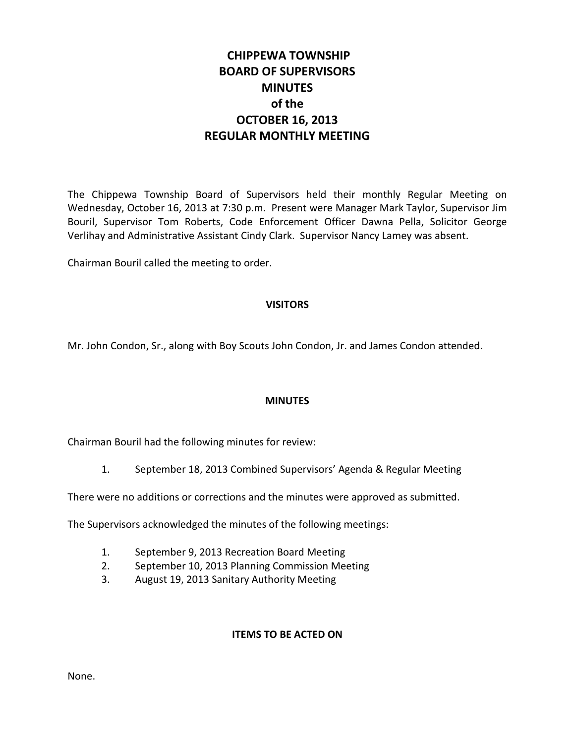# **CHIPPEWA TOWNSHIP BOARD OF SUPERVISORS MINUTES of the OCTOBER 16, 2013 REGULAR MONTHLY MEETING**

The Chippewa Township Board of Supervisors held their monthly Regular Meeting on Wednesday, October 16, 2013 at 7:30 p.m. Present were Manager Mark Taylor, Supervisor Jim Bouril, Supervisor Tom Roberts, Code Enforcement Officer Dawna Pella, Solicitor George Verlihay and Administrative Assistant Cindy Clark. Supervisor Nancy Lamey was absent.

Chairman Bouril called the meeting to order.

## **VISITORS**

Mr. John Condon, Sr., along with Boy Scouts John Condon, Jr. and James Condon attended.

## **MINUTES**

Chairman Bouril had the following minutes for review:

1. September 18, 2013 Combined Supervisors' Agenda & Regular Meeting

There were no additions or corrections and the minutes were approved as submitted.

The Supervisors acknowledged the minutes of the following meetings:

- 1. September 9, 2013 Recreation Board Meeting
- 2. September 10, 2013 Planning Commission Meeting
- 3. August 19, 2013 Sanitary Authority Meeting

#### **ITEMS TO BE ACTED ON**

None.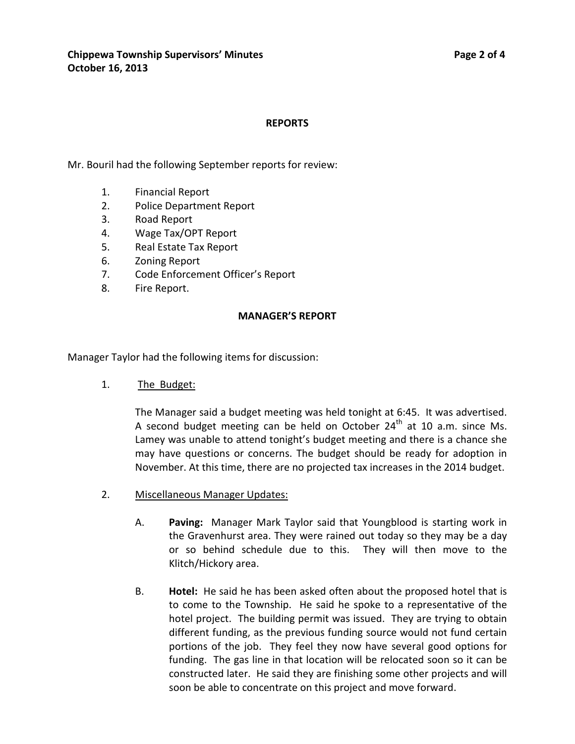### **REPORTS**

Mr. Bouril had the following September reports for review:

- 1. Financial Report
- 2. Police Department Report
- 3. Road Report
- 4. Wage Tax/OPT Report
- 5. Real Estate Tax Report
- 6. Zoning Report
- 7. Code Enforcement Officer's Report
- 8. Fire Report.

#### **MANAGER'S REPORT**

Manager Taylor had the following items for discussion:

1. The Budget:

The Manager said a budget meeting was held tonight at 6:45. It was advertised. A second budget meeting can be held on October  $24<sup>th</sup>$  at 10 a.m. since Ms. Lamey was unable to attend tonight's budget meeting and there is a chance she may have questions or concerns. The budget should be ready for adoption in November. At this time, there are no projected tax increases in the 2014 budget.

- 2. Miscellaneous Manager Updates:
	- A. **Paving:** Manager Mark Taylor said that Youngblood is starting work in the Gravenhurst area. They were rained out today so they may be a day or so behind schedule due to this. They will then move to the Klitch/Hickory area.
	- B. **Hotel:** He said he has been asked often about the proposed hotel that is to come to the Township. He said he spoke to a representative of the hotel project. The building permit was issued. They are trying to obtain different funding, as the previous funding source would not fund certain portions of the job. They feel they now have several good options for funding. The gas line in that location will be relocated soon so it can be constructed later. He said they are finishing some other projects and will soon be able to concentrate on this project and move forward.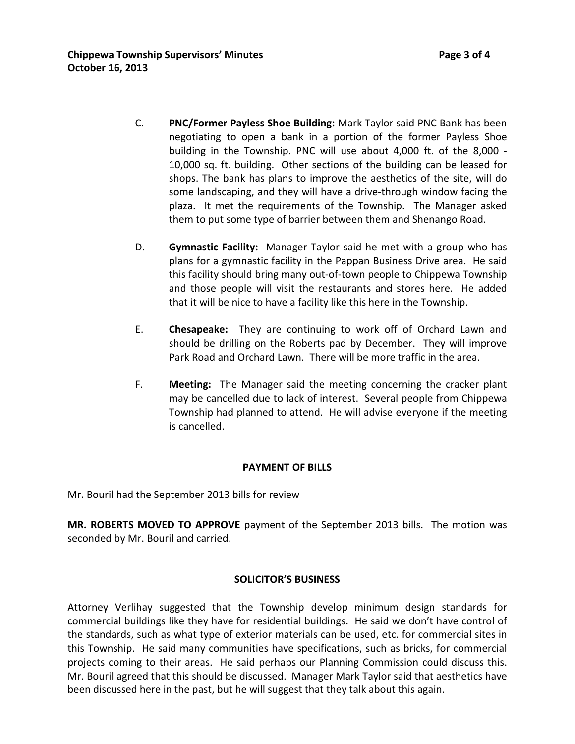C. **PNC/Former Payless Shoe Building:** Mark Taylor said PNC Bank has been negotiating to open a bank in a portion of the former Payless Shoe building in the Township. PNC will use about 4,000 ft. of the 8,000 - 10,000 sq. ft. building. Other sections of the building can be leased for shops. The bank has plans to improve the aesthetics of the site, will do some landscaping, and they will have a drive-through window facing the

plaza. It met the requirements of the Township. The Manager asked them to put some type of barrier between them and Shenango Road.

- D. **Gymnastic Facility:** Manager Taylor said he met with a group who has plans for a gymnastic facility in the Pappan Business Drive area. He said this facility should bring many out-of-town people to Chippewa Township and those people will visit the restaurants and stores here. He added that it will be nice to have a facility like this here in the Township.
- E. **Chesapeake:** They are continuing to work off of Orchard Lawn and should be drilling on the Roberts pad by December. They will improve Park Road and Orchard Lawn. There will be more traffic in the area.
- F. **Meeting:** The Manager said the meeting concerning the cracker plant may be cancelled due to lack of interest. Several people from Chippewa Township had planned to attend. He will advise everyone if the meeting is cancelled.

## **PAYMENT OF BILLS**

Mr. Bouril had the September 2013 bills for review

**MR. ROBERTS MOVED TO APPROVE** payment of the September 2013 bills. The motion was seconded by Mr. Bouril and carried.

## **SOLICITOR'S BUSINESS**

Attorney Verlihay suggested that the Township develop minimum design standards for commercial buildings like they have for residential buildings. He said we don't have control of the standards, such as what type of exterior materials can be used, etc. for commercial sites in this Township. He said many communities have specifications, such as bricks, for commercial projects coming to their areas. He said perhaps our Planning Commission could discuss this. Mr. Bouril agreed that this should be discussed. Manager Mark Taylor said that aesthetics have been discussed here in the past, but he will suggest that they talk about this again.